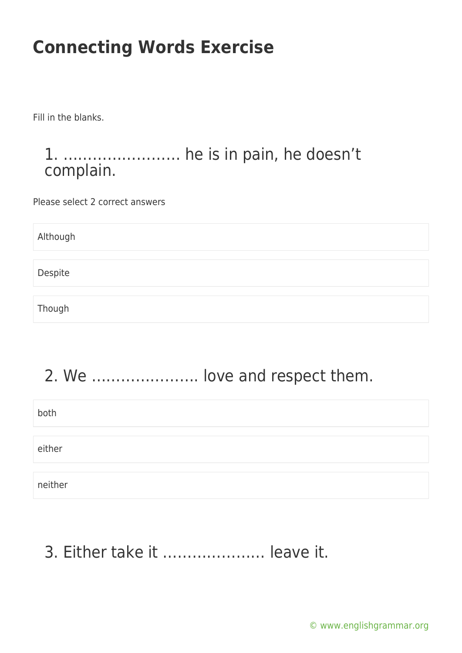Fill in the blanks.

#### 1. …………………… he is in pain, he doesn't complain.

Please select 2 correct answers

Although Despite Though

### 2. We …………………. love and respect them.

| both    |  |
|---------|--|
|         |  |
| either  |  |
|         |  |
| neither |  |

### 3. Either take it ………………… leave it.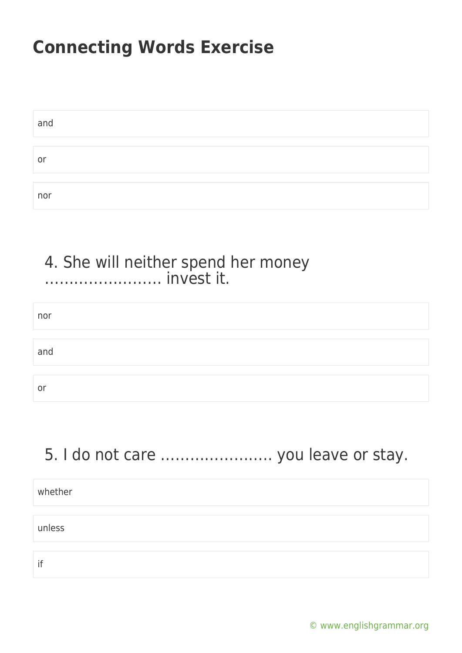| and |  |
|-----|--|
|     |  |
| or  |  |
|     |  |
| nor |  |

#### 4. She will neither spend her money …………………… invest it.

| nor |  |  |
|-----|--|--|
| and |  |  |
| or  |  |  |

### 5. I do not care ………………….. you leave or stay.

| whether |  |
|---------|--|
|         |  |
| unless  |  |
|         |  |
| if      |  |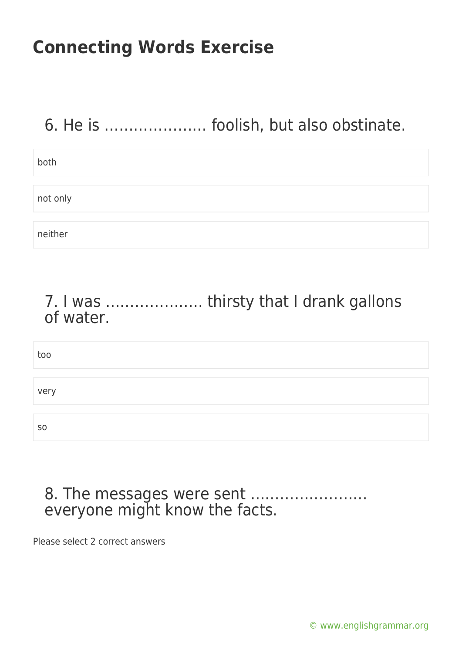### 6. He is ………………… foolish, but also obstinate.

| both     |  |
|----------|--|
|          |  |
| not only |  |
|          |  |
| neither  |  |

### 7. I was ……………….. thirsty that I drank gallons of water.

too very so

#### 8. The messages were sent …………………… everyone might know the facts.

Please select 2 correct answers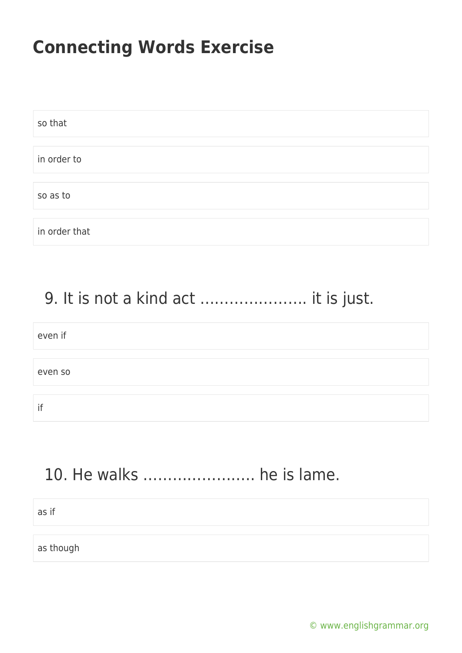| so that       |  |
|---------------|--|
|               |  |
| in order to   |  |
|               |  |
| so as to      |  |
|               |  |
| in order that |  |

### 9. It is not a kind act …………………. it is just.

| even if |  |  |  |
|---------|--|--|--|
|         |  |  |  |
| even so |  |  |  |
|         |  |  |  |
| if      |  |  |  |

### 10. He walks ………………….. he is lame.

as if

as though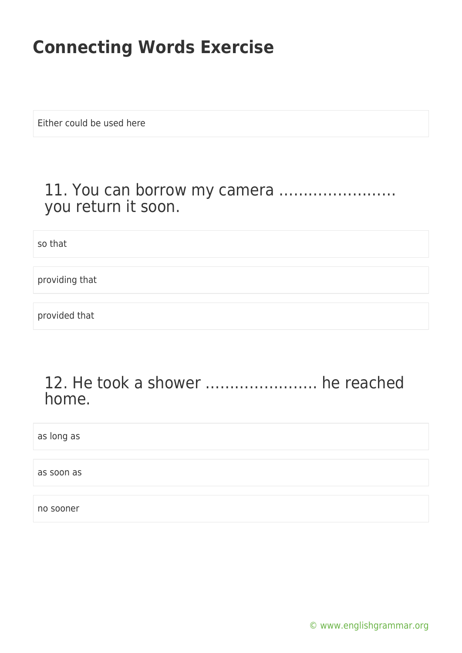Either could be used here

#### 11. You can borrow my camera …………………… you return it soon.

so that

providing that

provided that

#### 12. He took a shower ………………….. he reached home.

as long as

as soon as

no sooner

[© www.englishgrammar.org](https://www.englishgrammar.org/)